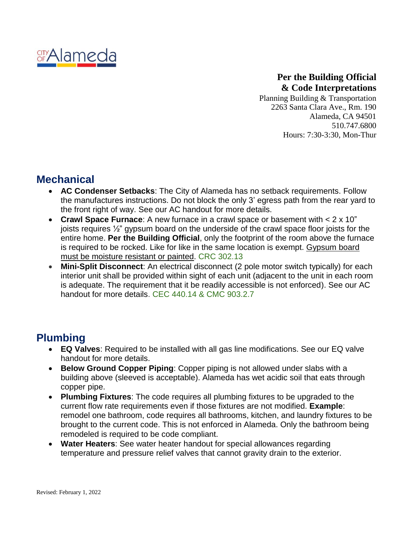

#### **Per the Building Official & Code Interpretations**

Planning Building & Transportation 2263 Santa Clara Ave., Rm. 190 Alameda, CA 94501 510.747.6800 Hours: 7:30-3:30, Mon-Thur

## **Mechanical**

- **AC Condenser Setbacks**: The City of Alameda has no setback requirements. Follow the manufactures instructions. Do not block the only 3' egress path from the rear yard to the front right of way. See our AC handout for more details.
- **Crawl Space Furnace**: A new furnace in a crawl space or basement with < 2 x 10" joists requires ½" gypsum board on the underside of the crawl space floor joists for the entire home. **Per the Building Official**, only the footprint of the room above the furnace is required to be rocked. Like for like in the same location is exempt. Gypsum board must be moisture resistant or painted. [CRC 302.13](https://up.codes/viewer/california/irc-2018/chapter/3/building-planning#R302.13)
- **Mini-Split Disconnect**: An electrical disconnect (2 pole motor switch typically) for each interior unit shall be provided within sight of each unit (adjacent to the unit in each room is adequate. The requirement that it be readily accessible is not enforced). See our AC handout for more details. CEC 440.14 & CMC 903.2.7

# **Plumbing**

- **EQ Valves**: Required to be installed with all gas line modifications. See our EQ valve handout for more details.
- **Below Ground Copper Piping**: Copper piping is not allowed under slabs with a building above (sleeved is acceptable). Alameda has wet acidic soil that eats through copper pipe.
- **Plumbing Fixtures**: The code requires all plumbing fixtures to be upgraded to the current flow rate requirements even if those fixtures are not modified. **Example**: remodel one bathroom, code requires all bathrooms, kitchen, and laundry fixtures to be brought to the current code. This is not enforced in Alameda. Only the bathroom being remodeled is required to be code compliant.
- **Water Heaters**: See water heater handout for special allowances regarding temperature and pressure relief valves that cannot gravity drain to the exterior.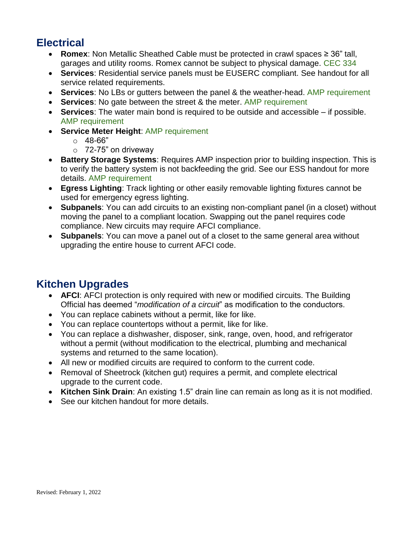## **Electrical**

- **Romex**: Non Metallic Sheathed Cable must be protected in crawl spaces ≥ 36" tall, garages and utility rooms. Romex cannot be subject to physical damage. CEC 334
- **Services**: Residential service panels must be EUSERC compliant. See handout for all service related requirements.
- **Services**: No LBs or gutters between the panel & the weather-head. AMP requirement
- **Services**: No gate between the street & the meter. AMP requirement
- **Services**: The water main bond is required to be outside and accessible if possible. AMP requirement
- **Service Meter Height**: AMP requirement
	- $O$  48-66"
	- $\circ$  72-75" on driveway
- **Battery Storage Systems**: Requires AMP inspection prior to building inspection. This is to verify the battery system is not backfeeding the grid. See our ESS handout for more details. AMP requirement
- **Egress Lighting**: Track lighting or other easily removable lighting fixtures cannot be used for emergency egress lighting.
- **Subpanels**: You can add circuits to an existing non-compliant panel (in a closet) without moving the panel to a compliant location. Swapping out the panel requires code compliance. New circuits may require AFCI compliance.
- **Subpanels**: You can move a panel out of a closet to the same general area without upgrading the entire house to current AFCI code.

# **Kitchen Upgrades**

- **AFCI:** AFCI protection is only required with new or modified circuits. The Building Official has deemed "*modification of a circuit*" as modification to the conductors.
- You can replace cabinets without a permit, like for like.
- You can replace countertops without a permit, like for like.
- You can replace a dishwasher, disposer, sink, range, oven, hood, and refrigerator without a permit (without modification to the electrical, plumbing and mechanical systems and returned to the same location).
- All new or modified circuits are required to conform to the current code.
- Removal of Sheetrock (kitchen gut) requires a permit, and complete electrical upgrade to the current code.
- **Kitchen Sink Drain**: An existing 1.5" drain line can remain as long as it is not modified.
- See our kitchen handout for more details.